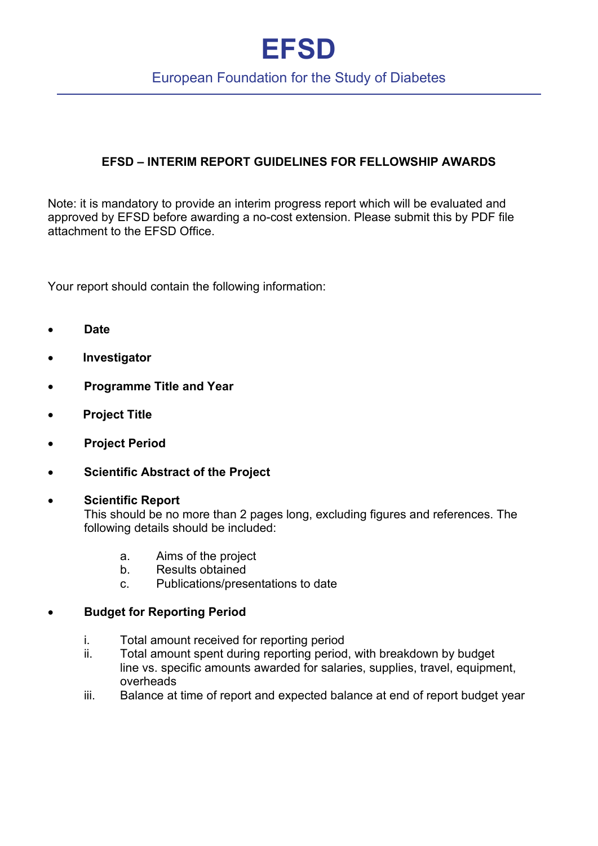# **EFSD**

## European Foundation for the Study of Diabetes

### **EFSD – INTERIM REPORT GUIDELINES FOR FELLOWSHIP AWARDS**

Note: it is mandatory to provide an interim progress report which will be evaluated and approved by EFSD before awarding a no-cost extension. Please submit this by PDF file attachment to the EFSD Office.

Your report should contain the following information:

- **Date**
- • **Investigator**
- **Programme Title and Year**
- • **Project Title**
- **Project Period**
- **Scientific Abstract of the Project**

#### • **Scientific Report**

This should be no more than 2 pages long, excluding figures and references. The following details should be included:

- a. Aims of the project
- b. Results obtained
- c. Publications/presentations to date

#### • **Budget for Reporting Period**

- i. Total amount received for reporting period
- ii. Total amount spent during reporting period, with breakdown by budget line vs. specific amounts awarded for salaries, supplies, travel, equipment, overheads
- iii. Balance at time of report and expected balance at end of report budget year